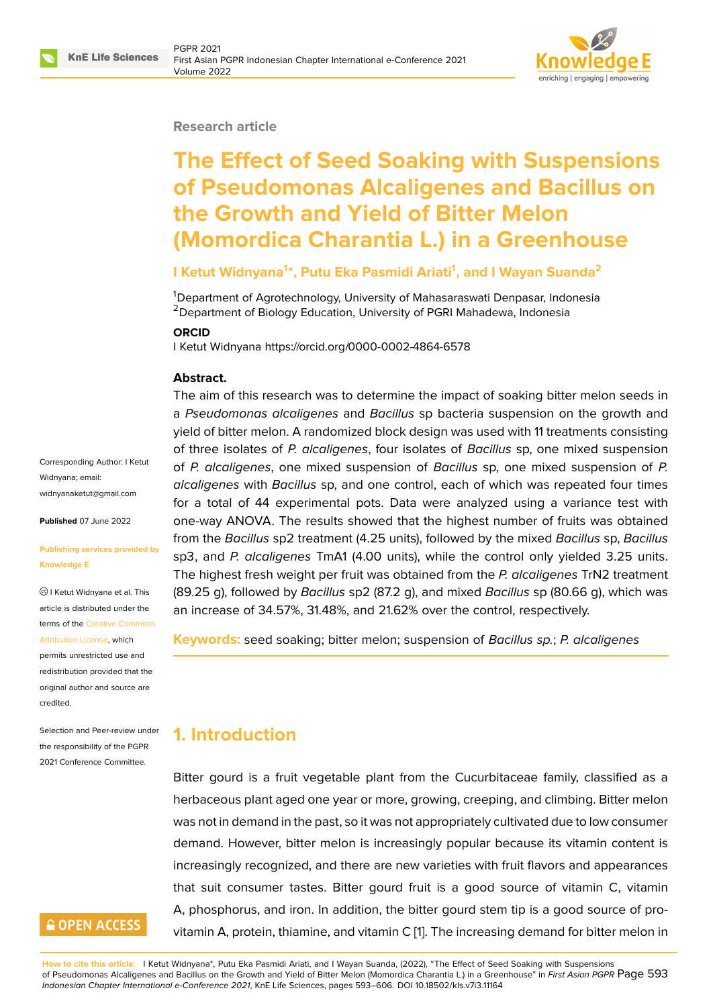

#### **Research article**

# **The Effect of Seed Soaking with Suspensions of Pseudomonas Alcaligenes and Bacillus on the Growth and Yield of Bitter Melon (Momordica Charantia L.) in a Greenhouse**

### **I Ketut Widnyana<sup>1</sup> \*, Putu Eka Pasmidi Ariati<sup>1</sup> , and I Wayan Suanda<sup>2</sup>**

<sup>1</sup>Department of Agrotechnology, University of Mahasaraswati Denpasar, Indonesia <sup>2</sup> Department of Biology Education, University of PGRI Mahadewa, Indonesia

#### **ORCID**

I Ketut Widnyana https://orcid.org/0000-0002-4864-6578

#### **Abstract.**

The aim of this research was to determine the impact of soaking bitter melon seeds in a *Pseudomonas alcaligenes* and *Bacillus* sp bacteria suspension on the growth and yield of bitter melon. A randomized block design was used with 11 treatments consisting of three isolates of *P. alcaligenes*, four isolates of *Bacillus* sp, one mixed suspension of *P. alcaligenes*, one mixed suspension of *Bacillus* sp, one mixed suspension of *P. alcaligenes* with *Bacillus* sp, and one control, each of which was repeated four times for a total of 44 experimental pots. Data were analyzed using a variance test with one-way ANOVA. The results showed that the highest number of fruits was obtained from the *Bacillus* sp2 treatment (4.25 units), followed by the mixed *Bacillus* sp, *Bacillus* sp3, and *P. alcaligenes* TmA1 (4.00 units), while the control only yielded 3.25 units. The highest fresh weight per fruit was obtained from the *P. alcaligenes* TrN2 treatment (89.25 g), followed by *Bacillus* sp2 (87.2 g), and mixed *Bacillus* sp (80.66 g), which was an increase of 34.57%, 31.48%, and 21.62% over the control, respectively.

**Keywords:** seed soaking; bitter melon; suspension of *Bacillus sp.*; *P. alcaligenes*

## **1. Introduction**

Bitter gourd is a fruit vegetable plant from the Cucurbitaceae family, classified as a herbaceous plant aged one year or more, growing, creeping, and climbing. Bitter melon was not in demand in the past, so it was not appropriately cultivated due to low consumer demand. However, bitter melon is increasingly popular because its vitamin content is increasingly recognized, and there are new varieties with fruit flavors and appearances that suit consumer tastes. Bitter gourd fruit is a good source of vitamin C, vitamin A, phosphorus, and iron. In addition, the bitter gourd stem tip is a good source of provitamin A, protein, thiamine, and vitamin C [1]. The increasing demand for bitter melon in

**How to cite this article**: I Ketut Widnyana\*, Putu Eka Pasmidi Ariati, and I Wayan Suanda, (2022), "The Effect of Seed Soaking with Suspensions of Pseudomonas Alcaligenes and Bacillus on the Growth and Yield of Bitter Melon (Momordica Charantia L.) in a Greenhouse" in *First Asian PGPR* Page 593 *Indonesian Chapter International e-Conference 2021*, KnE Life Sciences, pages 593–606. DOI [10](#page-10-0).18502/kls.v7i3.11164

Corresponding Author: I Ketut Widnyana; email: widnyanaketut@gmail.com

**Published** 07 June 2022

#### **[Publishing services provid](mailto:widnyanaketut@gmail.com)ed by Knowledge E**

I Ketut Widnyana et al. This article is distributed under the terms of the Creative Commons Attribution License, which

permits unrestricted use and redistribution provided that the original auth[or and source are](https://creativecommons.org/licenses/by/4.0/) [credited.](https://creativecommons.org/licenses/by/4.0/)

Selection and Peer-review under the responsibility of the PGPR 2021 Conference Committee.

## **GOPEN ACCESS**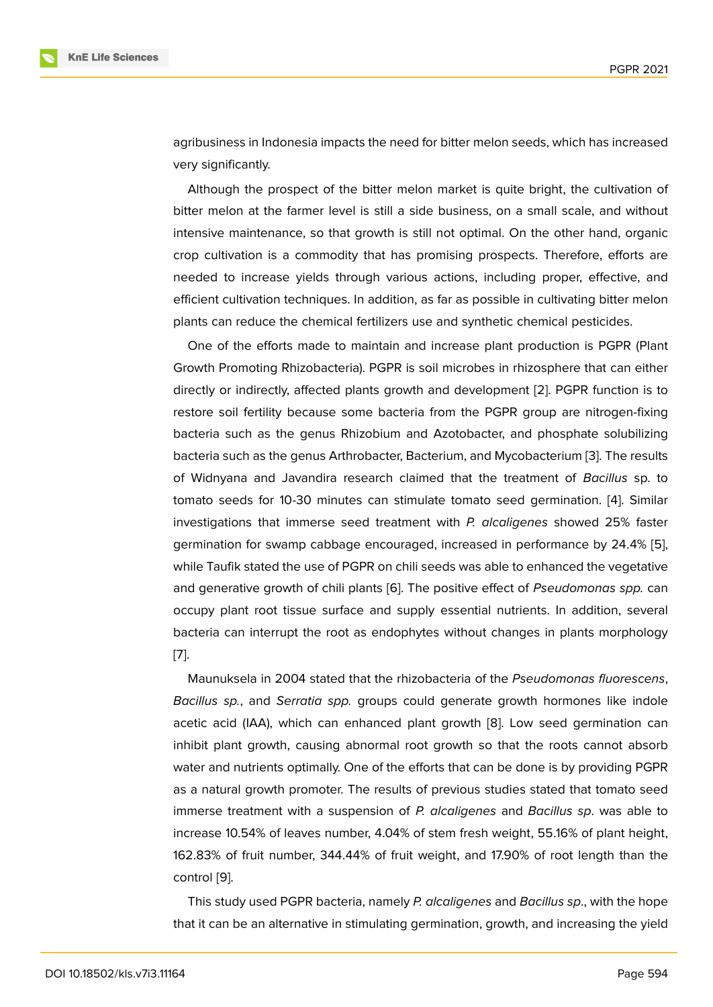agribusiness in Indonesia impacts the need for bitter melon seeds, which has increased very significantly.

Although the prospect of the bitter melon market is quite bright, the cultivation of bitter melon at the farmer level is still a side business, on a small scale, and without intensive maintenance, so that growth is still not optimal. On the other hand, organic crop cultivation is a commodity that has promising prospects. Therefore, efforts are needed to increase yields through various actions, including proper, effective, and efficient cultivation techniques. In addition, as far as possible in cultivating bitter melon plants can reduce the chemical fertilizers use and synthetic chemical pesticides.

One of the efforts made to maintain and increase plant production is PGPR (Plant Growth Promoting Rhizobacteria). PGPR is soil microbes in rhizosphere that can either directly or indirectly, affected plants growth and development [2]. PGPR function is to restore soil fertility because some bacteria from the PGPR group are nitrogen-fixing bacteria such as the genus Rhizobium and Azotobacter, and phosphate solubilizing bacteria such as the genus Arthrobacter, Bacterium, and Mycob[ac](#page-10-1)terium [3]. The results of Widnyana and Javandira research claimed that the treatment of *Bacillus* sp. to tomato seeds for 10-30 minutes can stimulate tomato seed germination. [4]. Similar investigations that immerse seed treatment with *P. alcaligenes* show[ed](#page-10-2) 25% faster germination for swamp cabbage encouraged, increased in performance by 24.4% [5], while Taufik stated the use of PGPR on chili seeds was able to enhanced the [ve](#page-10-3)getative and generative growth of chili plants [6]. The positive effect of *Pseudomonas spp.* can occupy plant root tissue surface and supply essential nutrients. In addition, seve[ra](#page-10-4)l bacteria can interrupt the root as endophytes without changes in plants morphology [7].

Maunuksela in 2004 stated that the rhizobacteria of the *Pseudomonas fluorescens*, *Bacillus sp.*, and *Serratia spp.* groups could generate growth hormones like indole [ac](#page-10-5)etic acid (IAA), which can enhanced plant growth [8]. Low seed germination can inhibit plant growth, causing abnormal root growth so that the roots cannot absorb water and nutrients optimally. One of the efforts that can be done is by providing PGPR as a natural growth promoter. The results of previous [stu](#page-11-0)dies stated that tomato seed immerse treatment with a suspension of *P. alcaligenes* and *Bacillus sp*. was able to increase 10.54% of leaves number, 4.04% of stem fresh weight, 55.16% of plant height, 162.83% of fruit number, 344.44% of fruit weight, and 17.90% of root length than the control [9].

This study used PGPR bacteria, namely *P. alcaligenes* and *Bacillus sp*., with the hope that it can be an alternative in stimulating germination, growth, and increasing the yield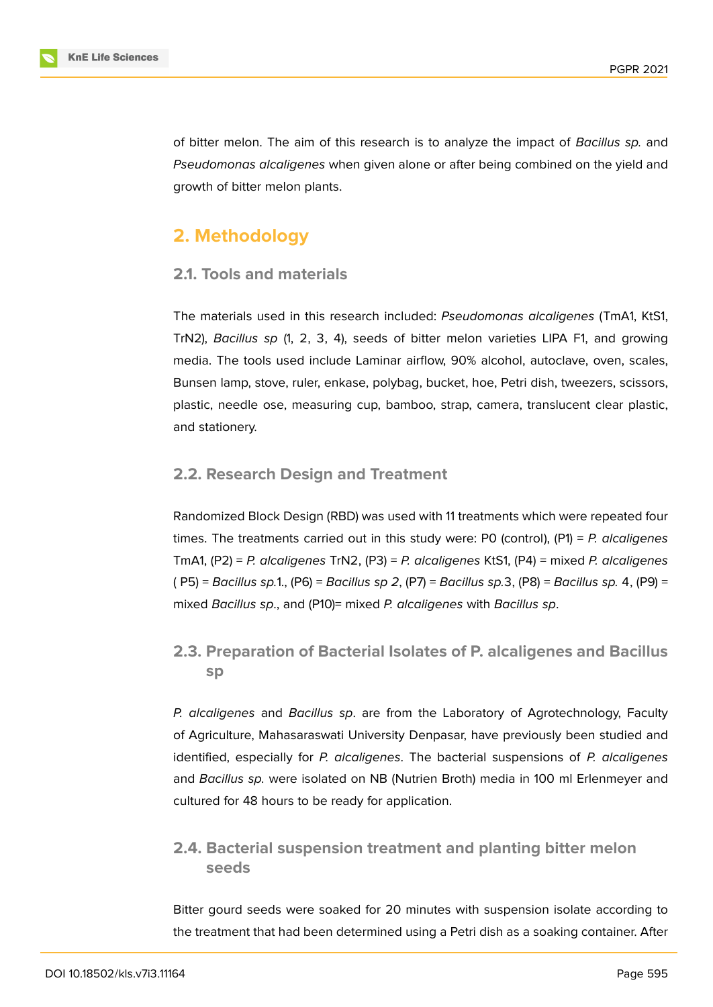

of bitter melon. The aim of this research is to analyze the impact of *Bacillus sp.* and *Pseudomonas alcaligenes* when given alone or after being combined on the yield and growth of bitter melon plants.

## **2. Methodology**

### **2.1. Tools and materials**

The materials used in this research included: *Pseudomonas alcaligenes* (TmA1, KtS1, TrN2), *Bacillus sp* (1, 2, 3, 4), seeds of bitter melon varieties LIPA F1, and growing media. The tools used include Laminar airflow, 90% alcohol, autoclave, oven, scales, Bunsen lamp, stove, ruler, enkase, polybag, bucket, hoe, Petri dish, tweezers, scissors, plastic, needle ose, measuring cup, bamboo, strap, camera, translucent clear plastic, and stationery.

## **2.2. Research Design and Treatment**

Randomized Block Design (RBD) was used with 11 treatments which were repeated four times. The treatments carried out in this study were: P0 (control), (P1) = *P. alcaligenes* TmA1, (P2) = *P. alcaligenes* TrN2, (P3) = *P. alcaligenes* KtS1, (P4) = mixed *P. alcaligenes* ( P5) = *Bacillus sp.*1., (P6) = *Bacillus sp 2*, (P7) = *Bacillus sp.*3, (P8) = *Bacillus sp.* 4, (P9) = mixed *Bacillus sp*., and (P10)= mixed *P. alcaligenes* with *Bacillus sp*.

**2.3. Preparation of Bacterial Isolates of P. alcaligenes and Bacillus sp**

*P. alcaligenes* and *Bacillus sp*. are from the Laboratory of Agrotechnology, Faculty of Agriculture, Mahasaraswati University Denpasar, have previously been studied and identified, especially for *P. alcaligenes*. The bacterial suspensions of *P. alcaligenes* and *Bacillus sp.* were isolated on NB (Nutrien Broth) media in 100 ml Erlenmeyer and cultured for 48 hours to be ready for application.

## **2.4. Bacterial suspension treatment and planting bitter melon seeds**

Bitter gourd seeds were soaked for 20 minutes with suspension isolate according to the treatment that had been determined using a Petri dish as a soaking container. After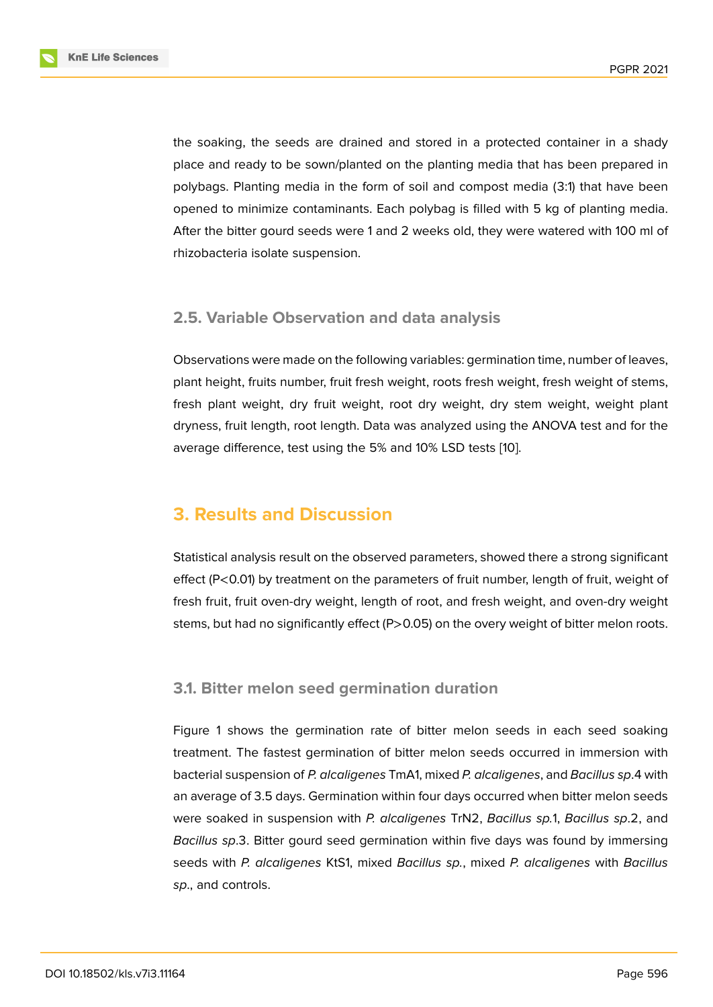the soaking, the seeds are drained and stored in a protected container in a shady place and ready to be sown/planted on the planting media that has been prepared in polybags. Planting media in the form of soil and compost media (3:1) that have been opened to minimize contaminants. Each polybag is filled with 5 kg of planting media. After the bitter gourd seeds were 1 and 2 weeks old, they were watered with 100 ml of rhizobacteria isolate suspension.

### **2.5. Variable Observation and data analysis**

Observations were made on the following variables: germination time, number of leaves, plant height, fruits number, fruit fresh weight, roots fresh weight, fresh weight of stems, fresh plant weight, dry fruit weight, root dry weight, dry stem weight, weight plant dryness, fruit length, root length. Data was analyzed using the ANOVA test and for the average difference, test using the 5% and 10% LSD tests [10].

## **3. Results and Discussion**

Statistical analysis result on the observed parameters, showed there a strong significant effect (P<0.01) by treatment on the parameters of fruit number, length of fruit, weight of fresh fruit, fruit oven-dry weight, length of root, and fresh weight, and oven-dry weight stems, but had no significantly effect (P>0.05) on the overy weight of bitter melon roots.

### **3.1. Bitter melon seed germination duration**

Figure 1 shows the germination rate of bitter melon seeds in each seed soaking treatment. The fastest germination of bitter melon seeds occurred in immersion with bacterial suspension of *P. alcaligenes* TmA1, mixed *P. alcaligenes*, and *Bacillus sp*.4 with an aver[a](#page-4-0)ge of 3.5 days. Germination within four days occurred when bitter melon seeds were soaked in suspension with *P. alcaligenes* TrN2, *Bacillus sp.*1, *Bacillus sp*.2, and *Bacillus sp*.3. Bitter gourd seed germination within five days was found by immersing seeds with *P. alcaligenes* KtS1, mixed *Bacillus sp.*, mixed *P. alcaligenes* with *Bacillus sp*., and controls.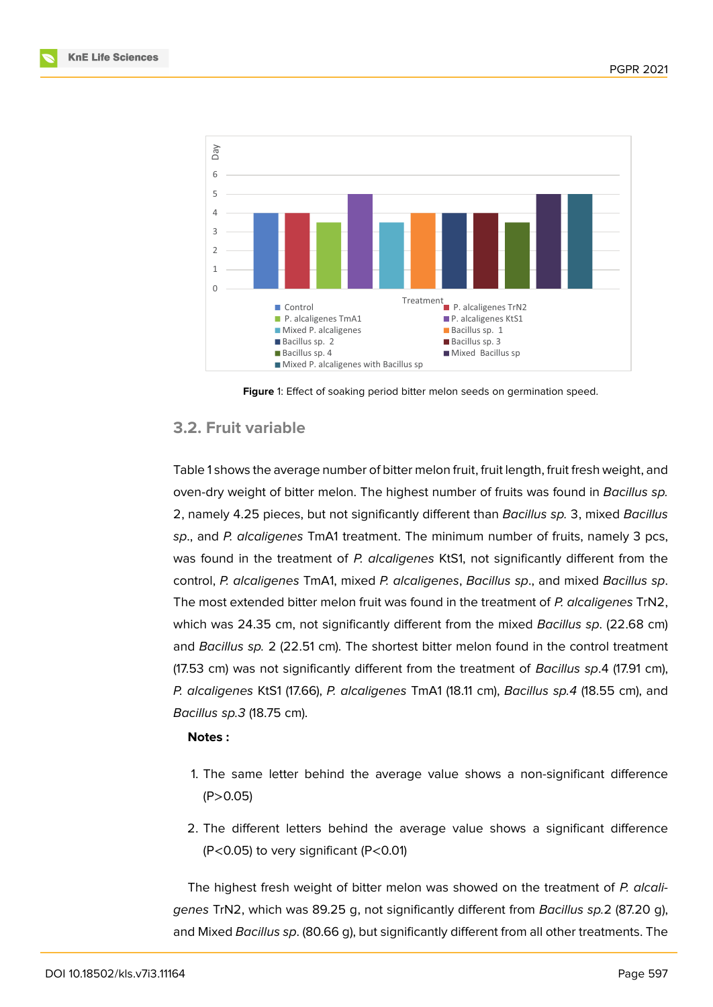



<span id="page-4-0"></span>**Figure** 1: Effect of soaking period bitter melon seeds on germination speed.

### **3.2. Fruit variable**

Table 1 shows the average number of bitter melon fruit, fruit length, fruit fresh weight, and oven-dry weight of bitter melon. The highest number of fruits was found in *Bacillus sp.* 2, namely 4.25 pieces, but not significantly different than *Bacillus sp.* 3, mixed *Bacillus sp*., and *P. alcaligenes* TmA1 treatment. The minimum number of fruits, namely 3 pcs, was found in the treatment of *P. alcaligenes* KtS1, not significantly different from the control, *P. alcaligenes* TmA1, mixed *P. alcaligenes*, *Bacillus sp*., and mixed *Bacillus sp*. The most extended bitter melon fruit was found in the treatment of *P. alcaligenes* TrN2, which was 24.35 cm, not significantly different from the mixed *Bacillus sp*. (22.68 cm) and *Bacillus sp.* 2 (22.51 cm). The shortest bitter melon found in the control treatment (17.53 cm) was not significantly different from the treatment of *Bacillus sp*.4 (17.91 cm), *P. alcaligenes* KtS1 (17.66), *P. alcaligenes* TmA1 (18.11 cm), *Bacillus sp.4* (18.55 cm), and *Bacillus sp.3* (18.75 cm).

#### **Notes :**

- 1. The same letter behind the average value shows a non-significant difference  $(P > 0.05)$
- 2. The different letters behind the average value shows a significant difference (P<0.05) to very significant (P<0.01)

The highest fresh weight of bitter melon was showed on the treatment of *P. alcaligenes* TrN2, which was 89.25 g, not significantly different from *Bacillus sp.*2 (87.20 g), and Mixed *Bacillus sp*. (80.66 g), but significantly different from all other treatments. The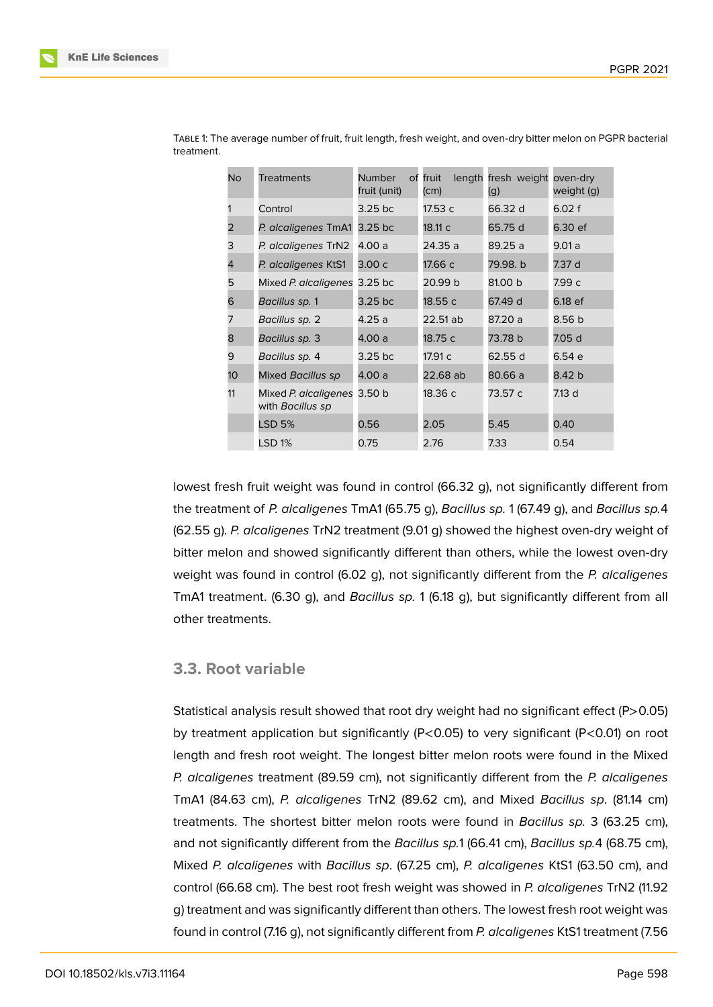| No              | <b>Treatments</b>                        | Number<br>fruit (unit) | of fruit<br>(cm) | length fresh weight oven-dry<br>(g) | weight (g) |
|-----------------|------------------------------------------|------------------------|------------------|-------------------------------------|------------|
|                 | Control                                  | 3.25 bc                | 17.53 c          | 66.32 d                             | 6.02 f     |
| 2               | P. alcaligenes TmA1                      | $3.25$ bc              | 18.11 c          | 65.75 d                             | 6.30 ef    |
| 3               | P. alcaligenes TrN2                      | 4.00 a                 | 24.35 a          | 89.25 a                             | 9.01a      |
| 4               | P. alcaligenes KtS1                      | 3.00 с                 | 17.66 с          | 79.98. b                            | 7.37 d     |
| 5               | Mixed P. alcaligenes                     | 3.25 bc                | 20.99 b          | 81.00 b                             | 7.99 с     |
| 6               | Bacillus sp. 1                           | 3.25 bc                | 18.55 c          | 67.49 d                             | 6.18 ef    |
| 7               | Bacillus sp. 2                           | 4.25 a                 | 22.51 ab         | 87.20 a                             | 8.56 b     |
| 8               | Bacillus sp. 3                           | 4.00 a                 | 18.75 c          | 73.78 b                             | 7.05 d     |
| 9               | Bacillus sp. 4                           | 3.25 bc                | 17.91 c          | 62.55 d                             | 6.54 e     |
| 10 <sup>°</sup> | Mixed Bacillus sp                        | 4.00 a                 | 22.68 ab         | 80.66 a                             | 8.42 b     |
| 11              | Mixed P. alcaligenes<br>with Bacillus sp | 3.50 b                 | 18.36 с          | 73.57 c                             | 7.13 d     |
|                 | LSD 5%                                   | 0.56                   | 2.05             | 5.45                                | 0.40       |
|                 | LSD 1%                                   | 0.75                   | 2.76             | 7.33                                | 0.54       |

Table 1: The average number of fruit, fruit length, fresh weight, and oven-dry bitter melon on PGPR bacterial treatment.

lowest fresh fruit weight was found in control (66.32 g), not significantly different from the treatment of *P. alcaligenes* TmA1 (65.75 g), *Bacillus sp.* 1 (67.49 g), and *Bacillus sp.*4 (62.55 g). *P. alcaligenes* TrN2 treatment (9.01 g) showed the highest oven-dry weight of bitter melon and showed significantly different than others, while the lowest oven-dry weight was found in control (6.02 g), not significantly different from the *P. alcaligenes* TmA1 treatment. (6.30 g), and *Bacillus sp.* 1 (6.18 g), but significantly different from all other treatments.

#### **3.3. Root variable**

Statistical analysis result showed that root dry weight had no significant effect (P>0.05) by treatment application but significantly (P<0.05) to very significant (P<0.01) on root length and fresh root weight. The longest bitter melon roots were found in the Mixed *P. alcaligenes* treatment (89.59 cm), not significantly different from the *P. alcaligenes* TmA1 (84.63 cm), *P. alcaligenes* TrN2 (89.62 cm), and Mixed *Bacillus sp*. (81.14 cm) treatments. The shortest bitter melon roots were found in *Bacillus sp.* 3 (63.25 cm), and not significantly different from the *Bacillus sp.*1 (66.41 cm), *Bacillus sp.*4 (68.75 cm), Mixed *P. alcaligenes* with *Bacillus sp*. (67.25 cm), *P. alcaligenes* KtS1 (63.50 cm), and control (66.68 cm). The best root fresh weight was showed in *P. alcaligenes* TrN2 (11.92 g) treatment and was significantly different than others. The lowest fresh root weight was found in control (7.16 g), not significantly different from *P. alcaligenes* KtS1 treatment (7.56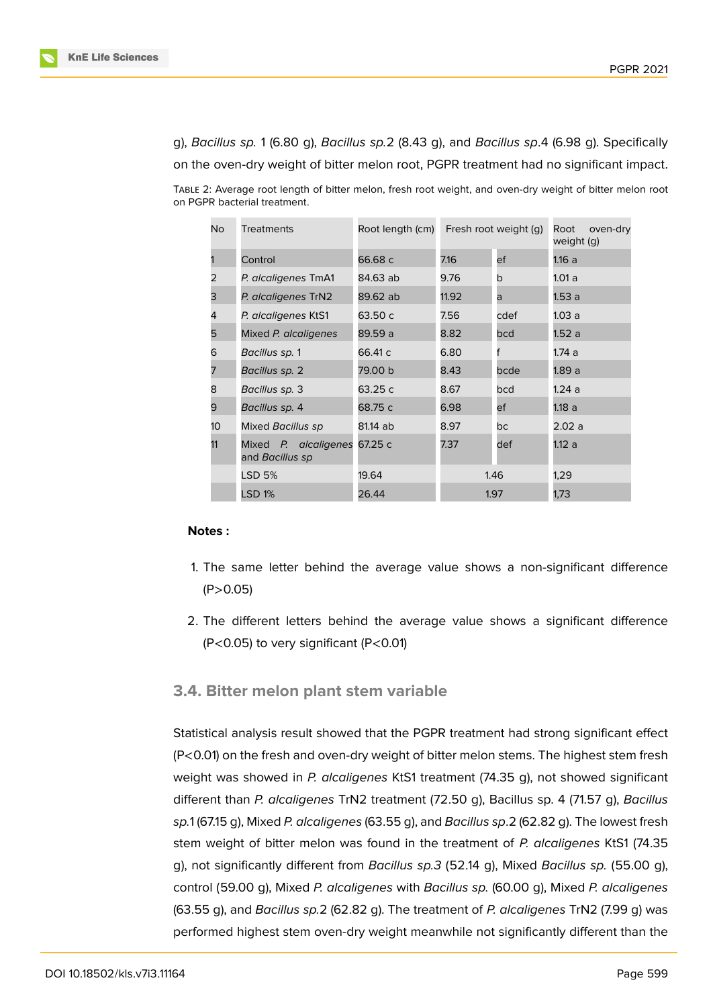

g), *Bacillus sp.* 1 (6.80 g), *Bacillus sp.*2 (8.43 g), and *Bacillus sp*.4 (6.98 g). Specifically on the oven-dry weight of bitter melon root, PGPR treatment had no significant impact.

Table 2: Average root length of bitter melon, fresh root weight, and oven-dry weight of bitter melon root on PGPR bacterial treatment.

| No | <b>Treatments</b>                       | Root length (cm) | Fresh root weight (g) |      | oven-dry<br>Root<br>weight (g) |  |
|----|-----------------------------------------|------------------|-----------------------|------|--------------------------------|--|
|    | Control                                 | 66.68 c          | 7.16                  | ef   | 1.16a                          |  |
| 2  | P. alcaligenes TmA1                     | 84.63 ab         | 9.76                  | b    | 1.01a                          |  |
| 3  | P. alcaligenes TrN2                     | 89.62 ab         | 11.92                 | a    | 1.53a                          |  |
| 4  | P. alcaligenes KtS1                     | 63.50 c          | 7.56                  | cdef | 1.03a                          |  |
| 5  | Mixed P. alcaligenes                    | 89.59 a          | 8.82                  | bcd  | 1.52a                          |  |
| 6  | Bacillus sp. 1                          | 66.41 c          | 6.80                  |      | 1.74 a                         |  |
| 7  | Bacillus sp. 2                          | 79.00 b          | 8.43                  | bcde | 1.89 a                         |  |
| 8  | Bacillus sp. 3                          | 63.25 c          | 8.67                  | bcd  | 1.24 a                         |  |
| 9  | Bacillus sp. 4                          | 68.75 c          | 6.98<br>ef            |      | 1.18a                          |  |
| 10 | Mixed Bacillus sp                       | 81.14 ab         | 8.97                  | bc   | 2.02a                          |  |
| 11 | Mixed P. alcaligenes<br>and Bacillus sp | 67.25 c          | 7.37                  | def  | 1.12a                          |  |
|    | LSD 5%                                  | 19.64            | 1.46                  |      | 1,29                           |  |
|    | <b>LSD 1%</b>                           | 26.44            | 1.97                  |      | 1,73                           |  |

#### **Notes :**

- 1. The same letter behind the average value shows a non-significant difference  $(P > 0.05)$
- 2. The different letters behind the average value shows a significant difference (P<0.05) to very significant (P<0.01)

### **3.4. Bitter melon plant stem variable**

Statistical analysis result showed that the PGPR treatment had strong significant effect (P<0.01) on the fresh and oven-dry weight of bitter melon stems. The highest stem fresh weight was showed in *P. alcaligenes* KtS1 treatment (74.35 g), not showed significant different than *P. alcaligenes* TrN2 treatment (72.50 g), Bacillus sp. 4 (71.57 g), *Bacillus sp.*1 (67.15 g), Mixed *P. alcaligenes* (63.55 g), and *Bacillus sp*.2 (62.82 g). The lowest fresh stem weight of bitter melon was found in the treatment of *P. alcaligenes* KtS1 (74.35 g), not significantly different from *Bacillus sp.3* (52.14 g), Mixed *Bacillus sp.* (55.00 g), control (59.00 g), Mixed *P. alcaligenes* with *Bacillus sp.* (60.00 g), Mixed *P. alcaligenes* (63.55 g), and *Bacillus sp.*2 (62.82 g). The treatment of *P. alcaligenes* TrN2 (7.99 g) was performed highest stem oven-dry weight meanwhile not significantly different than the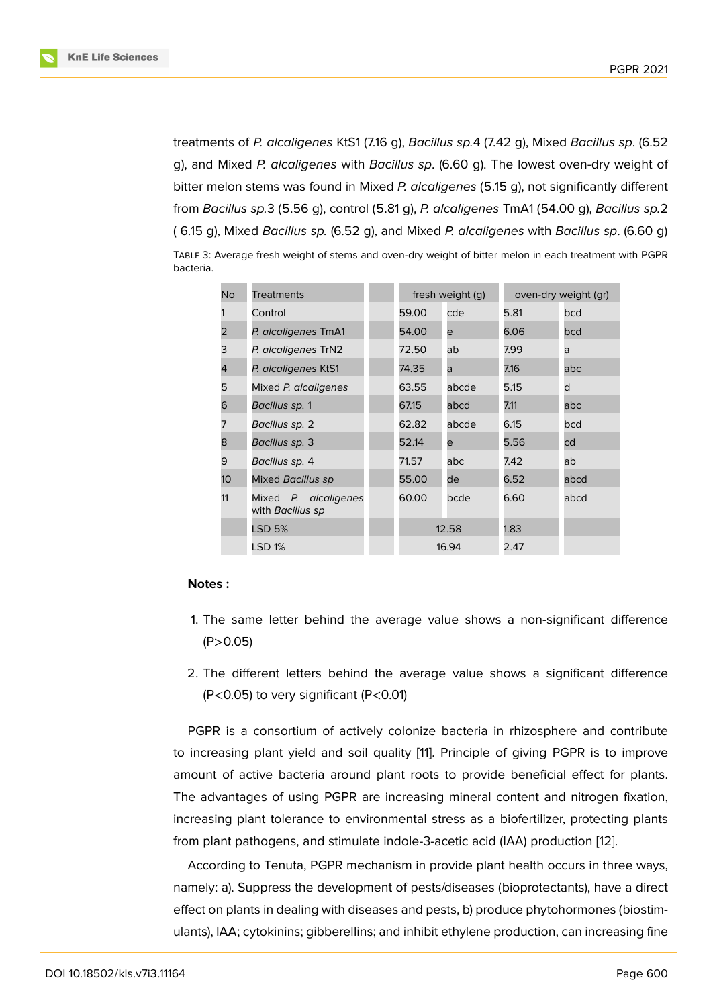treatments of *P. alcaligenes* KtS1 (7.16 g), *Bacillus sp.*4 (7.42 g), Mixed *Bacillus sp*. (6.52 g), and Mixed *P. alcaligenes* with *Bacillus sp*. (6.60 g). The lowest oven-dry weight of bitter melon stems was found in Mixed *P. alcaligenes* (5.15 g), not significantly different from *Bacillus sp.*3 (5.56 g), control (5.81 g), *P. alcaligenes* TmA1 (54.00 g), *Bacillus sp.*2 ( 6.15 g), Mixed *Bacillus sp.* (6.52 g), and Mixed *P. alcaligenes* with *Bacillus sp*. (6.60 g) Table 3: Average fresh weight of stems and oven-dry weight of bitter melon in each treatment with PGPR bacteria.

| No | <b>Treatments</b>                        |  | fresh weight (g) |       | oven-dry weight (gr) |      |
|----|------------------------------------------|--|------------------|-------|----------------------|------|
|    | Control                                  |  | 59.00            | cde   | 5.81                 | bcd  |
| 2  | P. alcaligenes TmA1                      |  | 54.00            | e     | 6.06                 | bcd  |
| 3  | P. alcaligenes TrN2                      |  | 72.50            | ab    | 7.99                 | a    |
| 4  | P. alcaligenes KtS1                      |  | 74.35            | a     | 7.16                 | abc  |
| 5  | Mixed P. alcaligenes                     |  | 63.55            | abcde | 5.15                 | d    |
| 6  | Bacillus sp. 1                           |  | 67.15            | abcd  | 7.11                 | abc  |
|    | Bacillus sp. 2                           |  | 62.82            | abcde | 6.15                 | bcd  |
| 8  | Bacillus sp. 3                           |  | 52.14            | e     | 5.56                 | cd   |
| 9  | Bacillus sp. 4                           |  | 71.57            | abc   | 7.42                 | ab   |
| 10 | Mixed Bacillus sp                        |  | 55.00            | de    | 6.52                 | abcd |
| 11 | Mixed P. alcaligenes<br>with Bacillus sp |  | 60.00            | bcde  | 6.60                 | abcd |
|    | <b>LSD 5%</b>                            |  | 12.58<br>16.94   |       | 1.83                 |      |
|    | <b>LSD 1%</b>                            |  |                  |       | 2.47                 |      |

#### **Notes :**

- 1. The same letter behind the average value shows a non-significant difference  $(P > 0.05)$
- 2. The different letters behind the average value shows a significant difference (P<0.05) to very significant (P<0.01)

PGPR is a consortium of actively colonize bacteria in rhizosphere and contribute to increasing plant yield and soil quality [11]. Principle of giving PGPR is to improve amount of active bacteria around plant roots to provide beneficial effect for plants. The advantages of using PGPR are increasing mineral content and nitrogen fixation, increasing plant tolerance to environment[al](#page-11-1) stress as a biofertilizer, protecting plants from plant pathogens, and stimulate indole-3-acetic acid (IAA) production [12].

According to Tenuta, PGPR mechanism in provide plant health occurs in three ways, namely: a). Suppress the development of pests/diseases (bioprotectants), have a direct effect on plants in dealing with diseases and pests, b) produce phytohormo[nes](#page-11-2) (biostimulants), IAA; cytokinins; gibberellins; and inhibit ethylene production, can increasing fine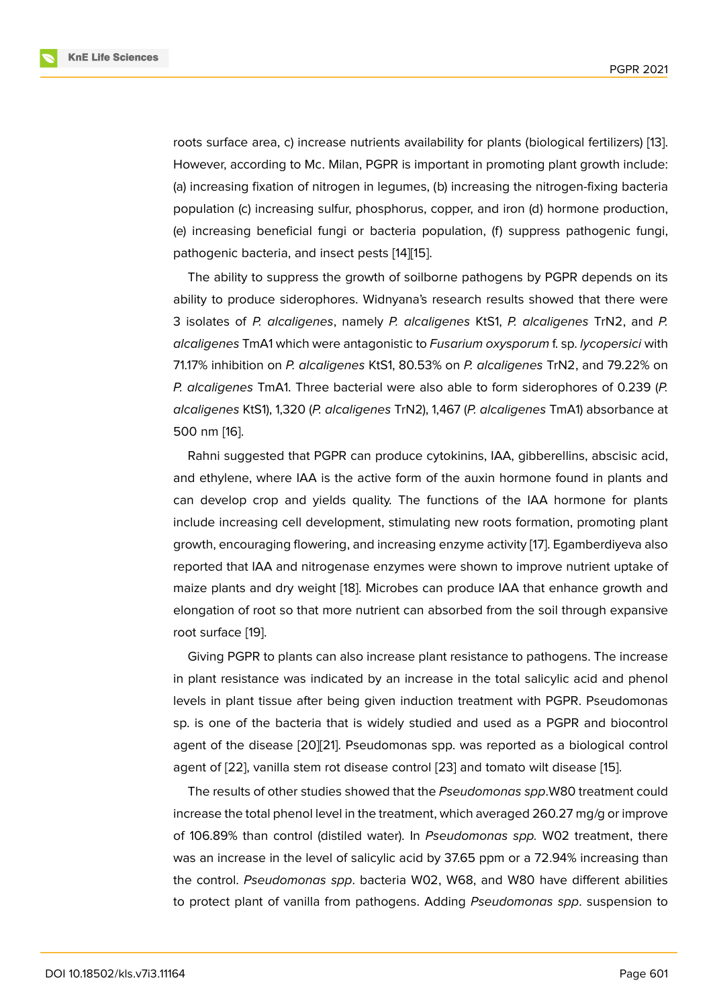roots surface area, c) increase nutrients availability for plants (biological fertilizers) [13]. However, according to Mc. Milan, PGPR is important in promoting plant growth include: (a) increasing fixation of nitrogen in legumes, (b) increasing the nitrogen-fixing bacteria population (c) increasing sulfur, phosphorus, copper, and iron (d) hormone product[ion](#page-11-3), (e) increasing beneficial fungi or bacteria population, (f) suppress pathogenic fungi, pathogenic bacteria, and insect pests [14][15].

The ability to suppress the growth of soilborne pathogens by PGPR depends on its ability to produce siderophores. Widnyana's research results showed that there were 3 isolates of *P. alcaligenes*, namely *[P. a](#page-11-4)[lca](#page-11-5)ligenes* KtS1, *P. alcaligenes* TrN2, and *P. alcaligenes* TmA1 which were antagonistic to *Fusarium oxysporum* f. sp. *lycopersici* with 71.17% inhibition on *P. alcaligenes* KtS1, 80.53% on *P. alcaligenes* TrN2, and 79.22% on *P. alcaligenes* TmA1. Three bacterial were also able to form siderophores of 0.239 (*P. alcaligenes* KtS1), 1,320 (*P. alcaligenes* TrN2), 1,467 (*P. alcaligenes* TmA1) absorbance at 500 nm [16].

Rahni suggested that PGPR can produce cytokinins, IAA, gibberellins, abscisic acid, and ethylene, where IAA is the active form of the auxin hormone found in plants and can dev[elo](#page-11-6)p crop and yields quality. The functions of the IAA hormone for plants include increasing cell development, stimulating new roots formation, promoting plant growth, encouraging flowering, and increasing enzyme activity [17]. Egamberdiyeva also reported that IAA and nitrogenase enzymes were shown to improve nutrient uptake of maize plants and dry weight [18]. Microbes can produce IAA that enhance growth and elongation of root so that more nutrient can absorbed from th[e s](#page-11-7)oil through expansive root surface [19].

Giving PGPR to plants can [als](#page-11-8)o increase plant resistance to pathogens. The increase in plant resistance was indicated by an increase in the total salicylic acid and phenol levels in pla[nt t](#page-11-9)issue after being given induction treatment with PGPR. Pseudomonas sp. is one of the bacteria that is widely studied and used as a PGPR and biocontrol agent of the disease [20][21]. Pseudomonas spp. was reported as a biological control agent of [22], vanilla stem rot disease control [23] and tomato wilt disease [15].

The results of other studies showed that the *Pseudomonas spp*.W80 treatment could increase the total phe[nol l](#page-12-0)[eve](#page-12-1)l in the treatment, which averaged 260.27 mg/g or improve of 106.89[% t](#page-12-2)han control (distiled water). In *P[seu](#page-12-3)domonas spp.* W02 treat[me](#page-11-5)nt, there was an increase in the level of salicylic acid by 37.65 ppm or a 72.94% increasing than the control. *Pseudomonas spp*. bacteria W02, W68, and W80 have different abilities to protect plant of vanilla from pathogens. Adding *Pseudomonas spp*. suspension to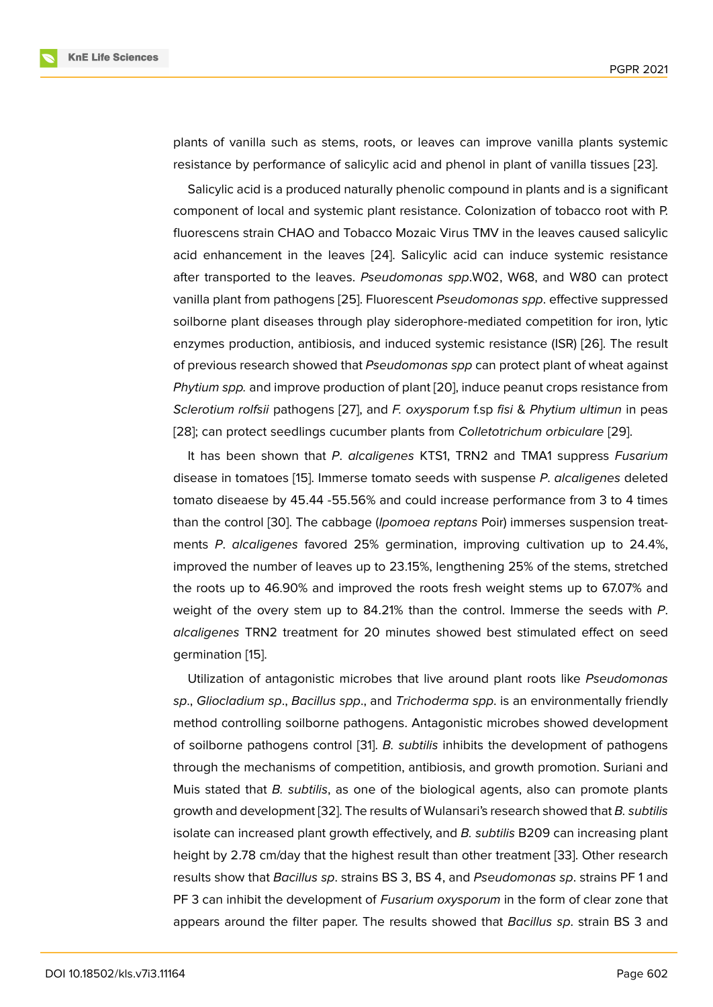plants of vanilla such as stems, roots, or leaves can improve vanilla plants systemic resistance by performance of salicylic acid and phenol in plant of vanilla tissues [23].

Salicylic acid is a produced naturally phenolic compound in plants and is a significant component of local and systemic plant resistance. Colonization of tobacco root with P. fluorescens strain CHAO and Tobacco Mozaic Virus TMV in the leaves caused s[alicy](#page-12-3)lic acid enhancement in the leaves [24]. Salicylic acid can induce systemic resistance after transported to the leaves. *Pseudomonas spp*.W02, W68, and W80 can protect vanilla plant from pathogens [25]. Fluorescent *Pseudomonas spp*. effective suppressed soilborne plant diseases through p[lay](#page-12-4) siderophore-mediated competition for iron, lytic enzymes production, antibiosis, and induced systemic resistance (ISR) [26]. The result of previous research showed [tha](#page-12-5)t *Pseudomonas spp* can protect plant of wheat against *Phytium spp.* and improve production of plant [20], induce peanut crops resistance from *Sclerotium rolfsii* pathogens [27], and *F. oxysporum* f.sp *fisi* & *Phytium [ultim](#page-12-6)un* in peas [28]; can protect seedlings cucumber plants from *Colletotrichum orbiculare* [29].

It has been shown that *P*. *alcaligenes* KT[S1,](#page-12-0) TRN2 and TMA1 suppress *Fusarium* disease in tomatoes [15]. Im[mers](#page-12-7)e tomato seeds with suspense *P*. *alcaligenes* deleted [tom](#page-12-8)ato diseaese by 45.44 -55.56% and could increase performance from 3 [to 4](#page-12-9) times than the control [30]. The cabbage (*Ipomoea reptans* Poir) immerses suspension treatments *P*. *alcaligenes* [fa](#page-11-5)vored 25% germination, improving cultivation up to 24.4%, improved the number of leaves up to 23.15%, lengthening 25% of the stems, stretched the roots up to [46.9](#page-12-10)0% and improved the roots fresh weight stems up to 67.07% and weight of the overy stem up to 84.21% than the control. Immerse the seeds with *P*. *alcaligenes* TRN2 treatment for 20 minutes showed best stimulated effect on seed germination [15].

Utilization of antagonistic microbes that live around plant roots like *Pseudomonas sp*., *Gliocladium sp*., *Bacillus spp*., and *Trichoderma spp*. is an environmentally friendly method cont[rol](#page-11-5)ling soilborne pathogens. Antagonistic microbes showed development of soilborne pathogens control [31]. *B. subtilis* inhibits the development of pathogens through the mechanisms of competition, antibiosis, and growth promotion. Suriani and Muis stated that *B. subtilis*, as one of the biological agents, also can promote plants growth and development [32]. Th[e r](#page-12-11)esults of Wulansari's research showed that *B. subtilis* isolate can increased plant growth effectively, and *B. subtilis* B209 can increasing plant height by 2.78 cm/day that the highest result than other treatment [33]. Other research results show that *Bacillus [sp](#page-13-0)*. strains BS 3, BS 4, and *Pseudomonas sp*. strains PF 1 and PF 3 can inhibit the development of *Fusarium oxysporum* in the form of clear zone that appears around the filter paper. The results showed that *Bacillus [sp](#page-13-1)*. strain BS 3 and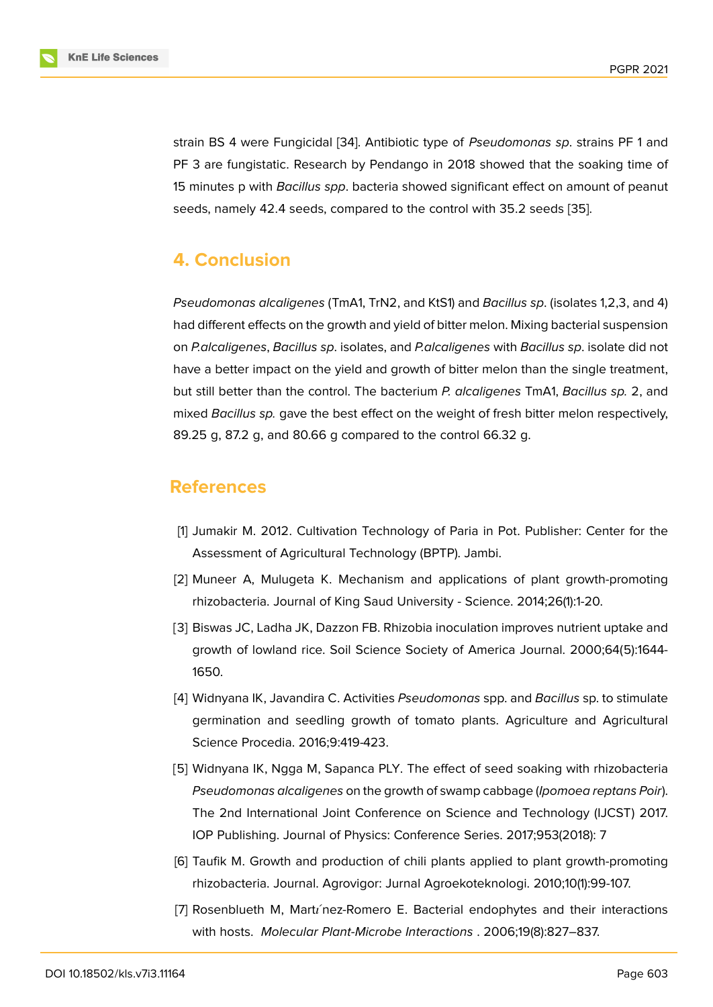strain BS 4 were Fungicidal [34]. Antibiotic type of *Pseudomonas sp*. strains PF 1 and PF 3 are fungistatic. Research by Pendango in 2018 showed that the soaking time of 15 minutes p with *Bacillus spp*. bacteria showed significant effect on amount of peanut seeds, namely 42.4 seeds, c[om](#page-13-2)pared to the control with 35.2 seeds [35].

## **4. Conclusion**

*Pseudomonas alcaligenes* (TmA1, TrN2, and KtS1) and *Bacillus sp*. (isolates 1,2,3, and 4) had different effects on the growth and yield of bitter melon. Mixing bacterial suspension on *P.alcaligenes*, *Bacillus sp*. isolates, and *P.alcaligenes* with *Bacillus sp*. isolate did not have a better impact on the yield and growth of bitter melon than the single treatment, but still better than the control. The bacterium *P. alcaligenes* TmA1, *Bacillus sp.* 2, and mixed *Bacillus sp.* gave the best effect on the weight of fresh bitter melon respectively, 89.25 g, 87.2 g, and 80.66 g compared to the control 66.32 g.

## **References**

- [1] Jumakir M. 2012. Cultivation Technology of Paria in Pot. Publisher: Center for the Assessment of Agricultural Technology (BPTP). Jambi.
- <span id="page-10-0"></span>[2] Muneer A, Mulugeta K. Mechanism and applications of plant growth-promoting rhizobacteria. Journal of King Saud University - Science. 2014;26(1):1-20.
- <span id="page-10-1"></span>[3] Biswas JC, Ladha JK, Dazzon FB. Rhizobia inoculation improves nutrient uptake and growth of lowland rice. Soil Science Society of America Journal. 2000;64(5):1644- 1650.
- <span id="page-10-2"></span>[4] Widnyana IK, Javandira C. Activities *Pseudomonas* spp. and *Bacillus* sp. to stimulate germination and seedling growth of tomato plants. Agriculture and Agricultural Science Procedia. 2016;9:419-423.
- <span id="page-10-3"></span>[5] Widnyana IK, Ngga M, Sapanca PLY. The effect of seed soaking with rhizobacteria *Pseudomonas alcaligenes* on the growth of swamp cabbage (*Ipomoea reptans Poir*). The 2nd International Joint Conference on Science and Technology (IJCST) 2017. IOP Publishing. Journal of Physics: Conference Series. 2017;953(2018): 7
- <span id="page-10-4"></span>[6] Taufik M. Growth and production of chili plants applied to plant growth-promoting rhizobacteria. Journal. Agrovigor: Jurnal Agroekoteknologi. 2010;10(1):99-107.
- <span id="page-10-5"></span>[7] Rosenblueth M, Martinez-Romero E. Bacterial endophytes and their interactions with hosts. *Molecular Plant-Microbe Interactions* . 2006;19(8):827–837.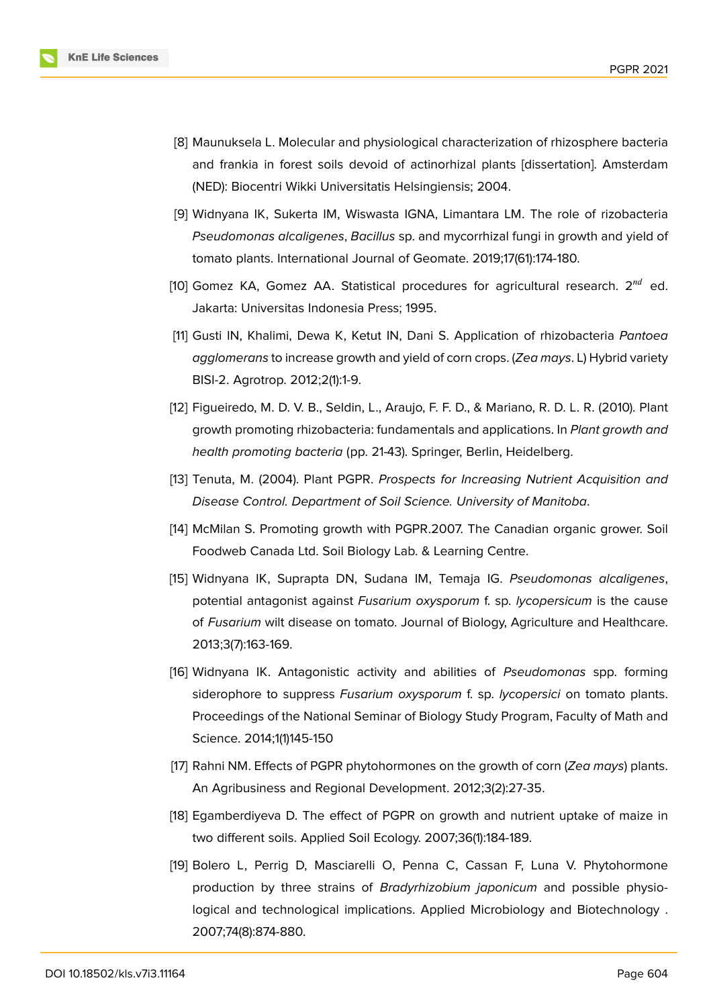

- <span id="page-11-0"></span>[8] Maunuksela L. Molecular and physiological characterization of rhizosphere bacteria and frankia in forest soils devoid of actinorhizal plants [dissertation]. Amsterdam (NED): Biocentri Wikki Universitatis Helsingiensis; 2004.
- [9] Widnyana IK, Sukerta IM, Wiswasta IGNA, Limantara LM. The role of rizobacteria *Pseudomonas alcaligenes*, *Bacillus* sp. and mycorrhizal fungi in growth and yield of tomato plants. International Journal of Geomate. 2019;17(61):174-180.
- [10] Gomez KA, Gomez AA. Statistical procedures for agricultural research.  $2^{nd}$  ed. Jakarta: Universitas Indonesia Press; 1995.
- <span id="page-11-1"></span>[11] Gusti IN, Khalimi, Dewa K, Ketut IN, Dani S. Application of rhizobacteria *Pantoea agglomerans* to increase growth and yield of corn crops. (*Zea mays*. L) Hybrid variety BISI-2. Agrotrop. 2012;2(1):1-9.
- <span id="page-11-2"></span>[12] Figueiredo, M. D. V. B., Seldin, L., Araujo, F. F. D., & Mariano, R. D. L. R. (2010). Plant growth promoting rhizobacteria: fundamentals and applications. In *Plant growth and health promoting bacteria* (pp. 21-43). Springer, Berlin, Heidelberg.
- <span id="page-11-3"></span>[13] Tenuta, M. (2004). Plant PGPR. *Prospects for Increasing Nutrient Acquisition and Disease Control. Department of Soil Science. University of Manitoba*.
- <span id="page-11-4"></span>[14] McMilan S. Promoting growth with PGPR.2007. The Canadian organic grower. Soil Foodweb Canada Ltd. Soil Biology Lab. & Learning Centre.
- <span id="page-11-5"></span>[15] Widnyana IK, Suprapta DN, Sudana IM, Temaja IG. *Pseudomonas alcaligenes*, potential antagonist against *Fusarium oxysporum* f. sp. *lycopersicum* is the cause of *Fusarium* wilt disease on tomato. Journal of Biology, Agriculture and Healthcare. 2013;3(7):163-169.
- <span id="page-11-6"></span>[16] Widnyana IK. Antagonistic activity and abilities of *Pseudomonas* spp. forming siderophore to suppress *Fusarium oxysporum* f. sp. *lycopersici* on tomato plants. Proceedings of the National Seminar of Biology Study Program, Faculty of Math and Science. 2014;1(1)145-150
- <span id="page-11-7"></span>[17] Rahni NM. Effects of PGPR phytohormones on the growth of corn (*Zea mays*) plants. An Agribusiness and Regional Development. 2012;3(2):27-35.
- <span id="page-11-8"></span>[18] Egamberdiyeva D. The effect of PGPR on growth and nutrient uptake of maize in two different soils. Applied Soil Ecology. 2007;36(1):184-189.
- <span id="page-11-9"></span>[19] Bolero L, Perrig D, Masciarelli O, Penna C, Cassan F, Luna V. Phytohormone production by three strains of *Bradyrhizobium japonicum* and possible physiological and technological implications. Applied Microbiology and Biotechnology . 2007;74(8):874-880.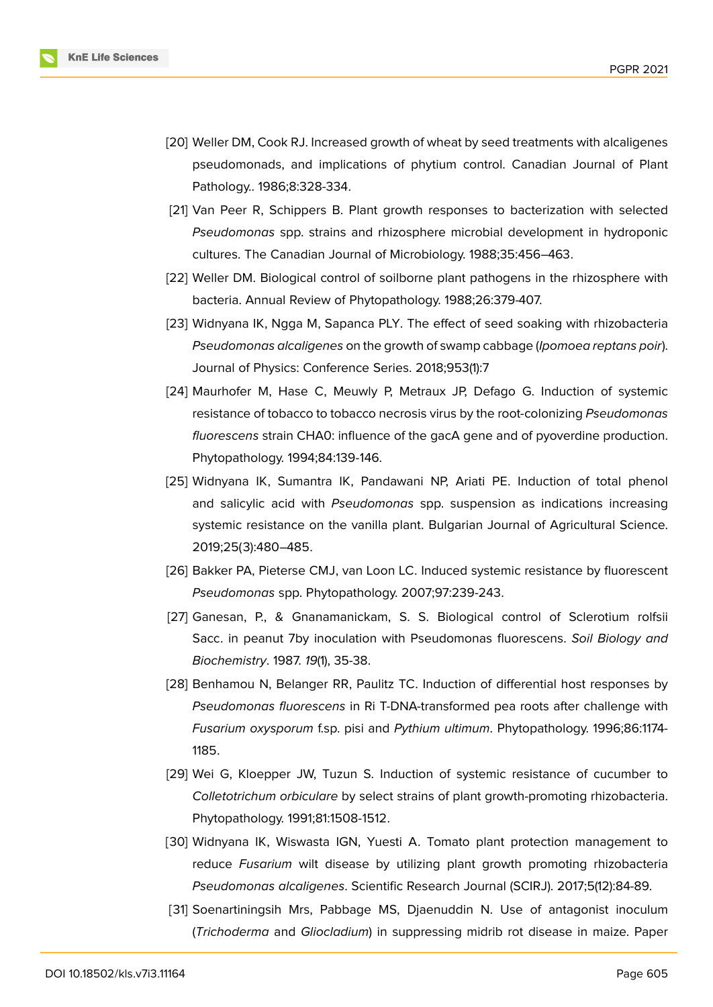

- <span id="page-12-0"></span>[20] Weller DM, Cook RJ. Increased growth of wheat by seed treatments with alcaligenes pseudomonads, and implications of phytium control. Canadian Journal of Plant Pathology.. 1986;8:328-334.
- <span id="page-12-1"></span>[21] Van Peer R, Schippers B. Plant growth responses to bacterization with selected *Pseudomonas* spp. strains and rhizosphere microbial development in hydroponic cultures. The Canadian Journal of Microbiology. 1988;35:456–463.
- <span id="page-12-2"></span>[22] Weller DM. Biological control of soilborne plant pathogens in the rhizosphere with bacteria. Annual Review of Phytopathology. 1988;26:379-407.
- <span id="page-12-3"></span>[23] Widnyana IK, Ngga M, Sapanca PLY. The effect of seed soaking with rhizobacteria *Pseudomonas alcaligenes* on the growth of swamp cabbage (*Ipomoea reptans poir*). Journal of Physics: Conference Series. 2018;953(1):7
- <span id="page-12-4"></span>[24] Maurhofer M, Hase C, Meuwly P, Metraux JP, Defago G. Induction of systemic resistance of tobacco to tobacco necrosis virus by the root-colonizing *Pseudomonas fluorescens* strain CHA0: influence of the gacA gene and of pyoverdine production. Phytopathology. 1994;84:139-146.
- <span id="page-12-5"></span>[25] Widnyana IK, Sumantra IK, Pandawani NP, Ariati PE. Induction of total phenol and salicylic acid with *Pseudomonas* spp. suspension as indications increasing systemic resistance on the vanilla plant. Bulgarian Journal of Agricultural Science. 2019;25(3):480–485.
- <span id="page-12-6"></span>[26] Bakker PA, Pieterse CMJ, van Loon LC. Induced systemic resistance by fluorescent *Pseudomonas* spp. Phytopathology. 2007;97:239-243.
- <span id="page-12-7"></span>[27] Ganesan, P., & Gnanamanickam, S. S. Biological control of Sclerotium rolfsii Sacc. in peanut 7by inoculation with Pseudomonas fluorescens. *Soil Biology and Biochemistry*. 1987. *19*(1), 35-38.
- <span id="page-12-8"></span>[28] Benhamou N, Belanger RR, Paulitz TC. Induction of differential host responses by *Pseudomonas fluorescens* in Ri T-DNA-transformed pea roots after challenge with *Fusarium oxysporum* f.sp. pisi and *Pythium ultimum*. Phytopathology. 1996;86:1174- 1185.
- <span id="page-12-9"></span>[29] Wei G, Kloepper JW, Tuzun S. Induction of systemic resistance of cucumber to *Colletotrichum orbiculare* by select strains of plant growth-promoting rhizobacteria. Phytopathology. 1991;81:1508-1512.
- <span id="page-12-10"></span>[30] Widnyana IK, Wiswasta IGN, Yuesti A. Tomato plant protection management to reduce *Fusarium* wilt disease by utilizing plant growth promoting rhizobacteria *Pseudomonas alcaligenes*. Scientific Research Journal (SCIRJ). 2017;5(12):84-89.
- <span id="page-12-11"></span>[31] Soenartiningsih Mrs, Pabbage MS, Djaenuddin N. Use of antagonist inoculum (*Trichoderma* and *Gliocladium*) in suppressing midrib rot disease in maize. Paper